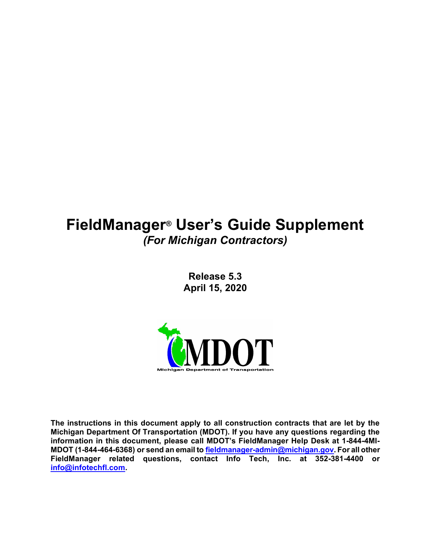# FieldManager® User's Guide Supplement (For Michigan Contractors)

Release 5.3 April 15, 2020



The instructions in this document apply to all construction contracts that are let by the Michigan Department Of Transportation (MDOT). If you have any questions regarding the information in this document, please call MDOT's FieldManager Help Desk at 1-844-4MI-MDOT (1-844-464-6368) or send an email to **fieldmanager-admin@michigan.gov**. For all other FieldManager related questions, contact Info Tech, Inc. at 352-381-4400 or info@infotechfl.com.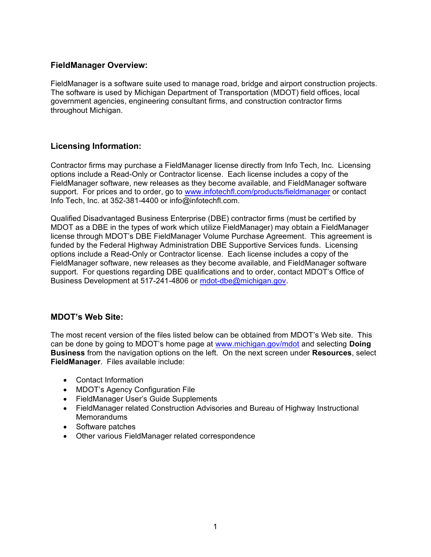#### FieldManager Overview:

FieldManager is a software suite used to manage road, bridge and airport construction projects. The software is used by Michigan Department of Transportation (MDOT) field offices, local government agencies, engineering consultant firms, and construction contractor firms throughout Michigan.

## Licensing Information:

Contractor firms may purchase a FieldManager license directly from Info Tech, Inc. Licensing options include a Read-Only or Contractor license. Each license includes a copy of the FieldManager software, new releases as they become available, and FieldManager software support. For prices and to order, go to www.infotechfl.com/products/fieldmanager or contact Info Tech, Inc. at 352-381-4400 or info@infotechfl.com.

Qualified Disadvantaged Business Enterprise (DBE) contractor firms (must be certified by MDOT as a DBE in the types of work which utilize FieldManager) may obtain a FieldManager license through MDOT's DBE FieldManager Volume Purchase Agreement. This agreement is funded by the Federal Highway Administration DBE Supportive Services funds. Licensing options include a Read-Only or Contractor license. Each license includes a copy of the FieldManager software, new releases as they become available, and FieldManager software support. For questions regarding DBE qualifications and to order, contact MDOT's Office of Business Development at 517-241-4806 or mdot-dbe@michigan.gov.

#### MDOT's Web Site:

The most recent version of the files listed below can be obtained from MDOT's Web site. This can be done by going to MDOT's home page at www.michigan.gov/mdot and selecting Doing **Business** from the navigation options on the left. On the next screen under **Resources**, select FieldManager. Files available include:

- Contact Information
- MDOT's Agency Configuration File
- FieldManager User's Guide Supplements
- FieldManager related Construction Advisories and Bureau of Highway Instructional **Memorandums**
- Software patches
- Other various FieldManager related correspondence